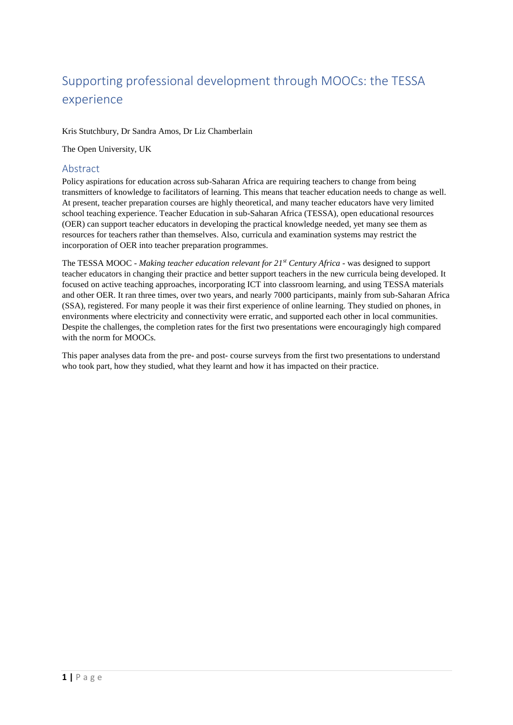# Supporting professional development through MOOCs: the TESSA experience

#### Kris Stutchbury, Dr Sandra Amos, Dr Liz Chamberlain

The Open University, UK

#### Abstract

Policy aspirations for education across sub-Saharan Africa are requiring teachers to change from being transmitters of knowledge to facilitators of learning. This means that teacher education needs to change as well. At present, teacher preparation courses are highly theoretical, and many teacher educators have very limited school teaching experience. Teacher Education in sub-Saharan Africa (TESSA), open educational resources (OER) can support teacher educators in developing the practical knowledge needed, yet many see them as resources for teachers rather than themselves. Also, curricula and examination systems may restrict the incorporation of OER into teacher preparation programmes.

The TESSA MOOC - *Making teacher education relevant for 21st Century Africa* - was designed to support teacher educators in changing their practice and better support teachers in the new curricula being developed. It focused on active teaching approaches, incorporating ICT into classroom learning, and using TESSA materials and other OER. It ran three times, over two years, and nearly 7000 participants, mainly from sub-Saharan Africa (SSA), registered. For many people it was their first experience of online learning. They studied on phones, in environments where electricity and connectivity were erratic, and supported each other in local communities. Despite the challenges, the completion rates for the first two presentations were encouragingly high compared with the norm for MOOCs.

This paper analyses data from the pre- and post- course surveys from the first two presentations to understand who took part, how they studied, what they learnt and how it has impacted on their practice.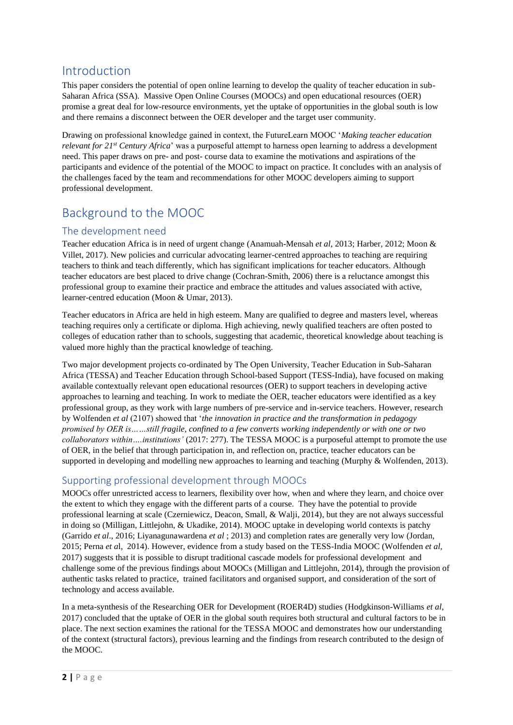## Introduction

This paper considers the potential of open online learning to develop the quality of teacher education in sub-Saharan Africa (SSA). Massive Open Online Courses (MOOCs) and open educational resources (OER) promise a great deal for low-resource environments, yet the uptake of opportunities in the global south is low and there remains a disconnect between the OER developer and the target user community.

Drawing on professional knowledge gained in context, the FutureLearn MOOC '*Making teacher education relevant for 21st Century Africa*' was a purposeful attempt to harness open learning to address a development need. This paper draws on pre- and post- course data to examine the motivations and aspirations of the participants and evidence of the potential of the MOOC to impact on practice. It concludes with an analysis of the challenges faced by the team and recommendations for other MOOC developers aiming to support professional development.

## Background to the MOOC

## The development need

Teacher education Africa is in need of urgent change (Anamuah-Mensah *et al*, 2013; Harber, 2012; Moon & Villet, 2017). New policies and curricular advocating learner-centred approaches to teaching are requiring teachers to think and teach differently, which has significant implications for teacher educators. Although teacher educators are best placed to drive change (Cochran-Smith, 2006) there is a reluctance amongst this professional group to examine their practice and embrace the attitudes and values associated with active, learner-centred education (Moon & Umar, 2013).

Teacher educators in Africa are held in high esteem. Many are qualified to degree and masters level, whereas teaching requires only a certificate or diploma. High achieving, newly qualified teachers are often posted to colleges of education rather than to schools, suggesting that academic, theoretical knowledge about teaching is valued more highly than the practical knowledge of teaching.

Two major development projects co-ordinated by The Open University, Teacher Education in Sub-Saharan Africa (TESSA) and Teacher Education through School-based Support (TESS-India), have focused on making available contextually relevant open educational resources (OER) to support teachers in developing active approaches to learning and teaching. In work to mediate the OER, teacher educators were identified as a key professional group, as they work with large numbers of pre-service and in-service teachers. However, research by Wolfenden *et al* (2107) showed that '*the innovation in practice and the transformation in pedagogy promised by OER is……still fragile, confined to a few converts working independently or with one or two collaborators within….institutions'* (2017: 277). The TESSA MOOC is a purposeful attempt to promote the use of OER, in the belief that through participation in, and reflection on, practice, teacher educators can be supported in developing and modelling new approaches to learning and teaching (Murphy & Wolfenden, 2013).

### Supporting professional development through MOOCs

MOOCs offer unrestricted access to learners, flexibility over how, when and where they learn, and choice over the extent to which they engage with the different parts of a course. They have the potential to provide professional learning at scale (Czerniewicz, Deacon, Small, & Walji, 2014), but they are not always successful in doing so (Milligan, Littlejohn, & Ukadike, 2014). MOOC uptake in developing world contexts is patchy (Garrido *et al*., 2016; Liyanagunawardena *et al* ; 2013) and completion rates are generally very low (Jordan, 2015; Perna *et a*l, 2014). However, evidence from a study based on the TESS-India MOOC (Wolfenden *et al*, 2017) suggests that it is possible to disrupt traditional cascade models for professional development and challenge some of the previous findings about MOOCs (Milligan and Littlejohn, 2014), through the provision of authentic tasks related to practice, trained facilitators and organised support, and consideration of the sort of technology and access available.

In a meta-synthesis of the Researching OER for Development (ROER4D) studies (Hodgkinson-Williams *et al*, 2017) concluded that the uptake of OER in the global south requires both structural and cultural factors to be in place. The next section examines the rational for the TESSA MOOC and demonstrates how our understanding of the context (structural factors), previous learning and the findings from research contributed to the design of the MOOC.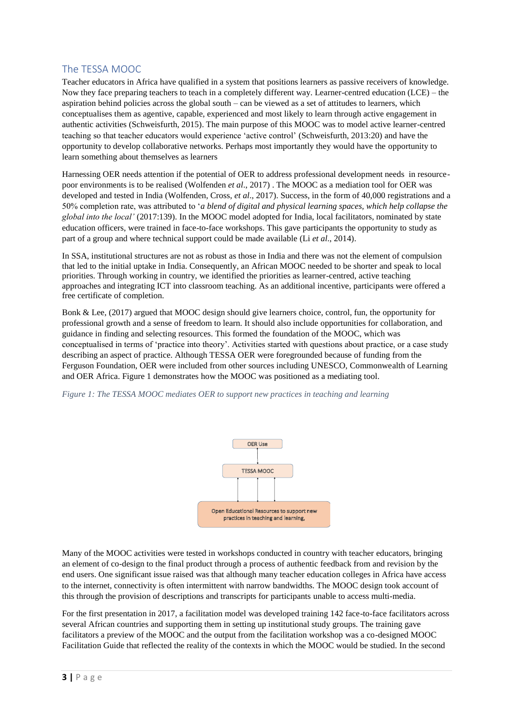#### The TESSA MOOC

Teacher educators in Africa have qualified in a system that positions learners as passive receivers of knowledge. Now they face preparing teachers to teach in a completely different way. Learner-centred education (LCE) – the aspiration behind policies across the global south  $-$  can be viewed as a set of attitudes to learners, which conceptualises them as agentive, capable, experienced and most likely to learn through active engagement in authentic activities (Schweisfurth, 2015). The main purpose of this MOOC was to model active learner-centred teaching so that teacher educators would experience 'active control' (Schweisfurth, 2013:20) and have the opportunity to develop collaborative networks. Perhaps most importantly they would have the opportunity to learn something about themselves as learners

Harnessing OER needs attention if the potential of OER to address professional development needs in resourcepoor environments is to be realised (Wolfenden *et al*., 2017) . The MOOC as a mediation tool for OER was developed and tested in India (Wolfenden, Cross, *et al*., 2017). Success, in the form of 40,000 registrations and a 50% completion rate, was attributed to '*a blend of digital and physical learning spaces, which help collapse the global into the local'* (2017:139). In the MOOC model adopted for India, local facilitators, nominated by state education officers, were trained in face-to-face workshops. This gave participants the opportunity to study as part of a group and where technical support could be made available (Li *et al*., 2014).

In SSA, institutional structures are not as robust as those in India and there was not the element of compulsion that led to the initial uptake in India. Consequently, an African MOOC needed to be shorter and speak to local priorities. Through working in country, we identified the priorities as learner-centred, active teaching approaches and integrating ICT into classroom teaching. As an additional incentive, participants were offered a free certificate of completion.

Bonk & Lee, (2017) argued that MOOC design should give learners choice, control, fun, the opportunity for professional growth and a sense of freedom to learn. It should also include opportunities for collaboration, and guidance in finding and selecting resources. This formed the foundation of the MOOC, which was conceptualised in terms of 'practice into theory'. Activities started with questions about practice, or a case study describing an aspect of practice. Although TESSA OER were foregrounded because of funding from the Ferguson Foundation, OER were included from other sources including UNESCO, Commonwealth of Learning and OER Africa. Figure 1 demonstrates how the MOOC was positioned as a mediating tool.

*Figure 1: The TESSA MOOC mediates OER to support new practices in teaching and learning*



Many of the MOOC activities were tested in workshops conducted in country with teacher educators, bringing an element of co-design to the final product through a process of authentic feedback from and revision by the end users. One significant issue raised was that although many teacher education colleges in Africa have access to the internet, connectivity is often intermittent with narrow bandwidths. The MOOC design took account of this through the provision of descriptions and transcripts for participants unable to access multi-media.

For the first presentation in 2017, a facilitation model was developed training 142 face-to-face facilitators across several African countries and supporting them in setting up institutional study groups. The training gave facilitators a preview of the MOOC and the output from the facilitation workshop was a co-designed MOOC Facilitation Guide that reflected the reality of the contexts in which the MOOC would be studied. In the second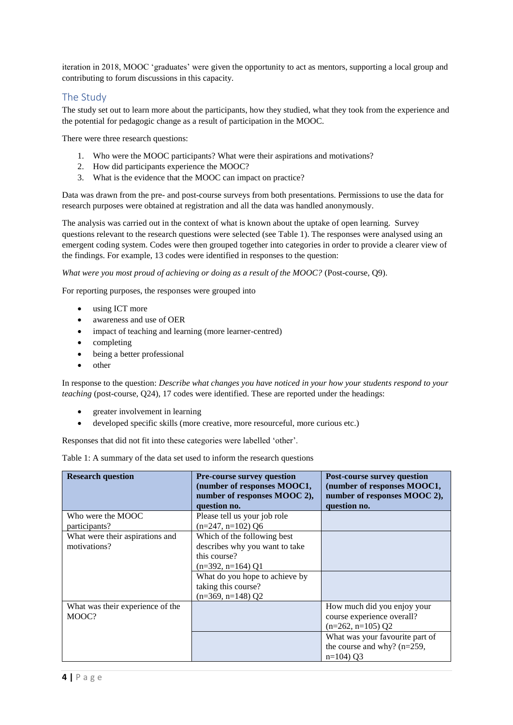iteration in 2018, MOOC 'graduates' were given the opportunity to act as mentors, supporting a local group and contributing to forum discussions in this capacity.

### The Study

The study set out to learn more about the participants, how they studied, what they took from the experience and the potential for pedagogic change as a result of participation in the MOOC.

There were three research questions:

- 1. Who were the MOOC participants? What were their aspirations and motivations?
- 2. How did participants experience the MOOC?
- 3. What is the evidence that the MOOC can impact on practice?

Data was drawn from the pre- and post-course surveys from both presentations. Permissions to use the data for research purposes were obtained at registration and all the data was handled anonymously.

The analysis was carried out in the context of what is known about the uptake of open learning. Survey questions relevant to the research questions were selected (see Table 1). The responses were analysed using an emergent coding system. Codes were then grouped together into categories in order to provide a clearer view of the findings. For example, 13 codes were identified in responses to the question:

*What were you most proud of achieving or doing as a result of the MOOC?* (Post-course, Q9).

For reporting purposes, the responses were grouped into

- using ICT more
- awareness and use of OER
- impact of teaching and learning (more learner-centred)
- completing
- being a better professional
- other

In response to the question: *Describe what changes you have noticed in your how your students respond to your teaching* (post-course, Q24), 17 codes were identified. These are reported under the headings:

- greater involvement in learning
- developed specific skills (more creative, more resourceful, more curious etc.)

Responses that did not fit into these categories were labelled 'other'.

| Table 1: A summary of the data set used to inform the research questions |  |  |  |  |
|--------------------------------------------------------------------------|--|--|--|--|
|--------------------------------------------------------------------------|--|--|--|--|

| <b>Research question</b>                        | <b>Pre-course survey question</b><br>(number of responses MOOC1,<br>number of responses MOOC 2),<br>question no.                                                                     | <b>Post-course survey question</b><br>(number of responses MOOC1,<br>number of responses MOOC 2),<br>question no. |
|-------------------------------------------------|--------------------------------------------------------------------------------------------------------------------------------------------------------------------------------------|-------------------------------------------------------------------------------------------------------------------|
| Who were the MOOC<br>participants?              | Please tell us your job role<br>$(n=247, n=102)$ Q6                                                                                                                                  |                                                                                                                   |
| What were their aspirations and<br>motivations? | Which of the following best<br>describes why you want to take<br>this course?<br>$(n=392, n=164)$ Q1<br>What do you hope to achieve by<br>taking this course?<br>$(n=369, n=148)$ Q2 |                                                                                                                   |
| What was their experience of the<br>MOOC?       |                                                                                                                                                                                      | How much did you enjoy your<br>course experience overall?<br>$(n=262, n=105)$ O2                                  |
|                                                 |                                                                                                                                                                                      | What was your favourite part of<br>the course and why? $(n=259)$ ,<br>$n=104$ ) O3                                |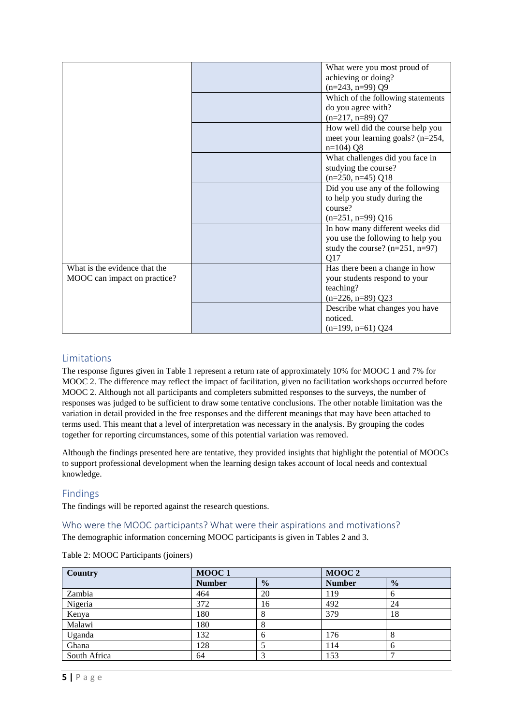|                               | What were you most proud of       |
|-------------------------------|-----------------------------------|
|                               | achieving or doing?               |
|                               | $(n=243, n=99)$ Q9                |
|                               | Which of the following statements |
|                               | do you agree with?                |
|                               | $(n=217, n=89)$ Q7                |
|                               | How well did the course help you  |
|                               | meet your learning goals? (n=254, |
|                               | $n=104$ ) Q8                      |
|                               | What challenges did you face in   |
|                               | studying the course?              |
|                               | $(n=250, n=45)$ Q18               |
|                               | Did you use any of the following  |
|                               | to help you study during the      |
|                               | course?                           |
|                               | $(n=251, n=99)$ Q16               |
|                               | In how many different weeks did   |
|                               | you use the following to help you |
|                               | study the course? $(n=251, n=97)$ |
|                               | Q17                               |
| What is the evidence that the | Has there been a change in how    |
| MOOC can impact on practice?  | your students respond to your     |
|                               | teaching?                         |
|                               | $(n=226, n=89)$ Q23               |
|                               | Describe what changes you have    |
|                               | noticed.                          |
|                               | $(n=199, n=61)$ Q24               |

## **Limitations**

The response figures given in Table 1 represent a return rate of approximately 10% for MOOC 1 and 7% for MOOC 2. The difference may reflect the impact of facilitation, given no facilitation workshops occurred before MOOC 2. Although not all participants and completers submitted responses to the surveys, the number of responses was judged to be sufficient to draw some tentative conclusions. The other notable limitation was the variation in detail provided in the free responses and the different meanings that may have been attached to terms used. This meant that a level of interpretation was necessary in the analysis. By grouping the codes together for reporting circumstances, some of this potential variation was removed.

Although the findings presented here are tentative, they provided insights that highlight the potential of MOOCs to support professional development when the learning design takes account of local needs and contextual knowledge.

### Findings

The findings will be reported against the research questions.

Who were the MOOC participants? What were their aspirations and motivations?

The demographic information concerning MOOC participants is given in Tables 2 and 3.

| Country      | MOOC1         |               | MOOC <sub>2</sub> |               |
|--------------|---------------|---------------|-------------------|---------------|
|              | <b>Number</b> | $\frac{0}{0}$ | <b>Number</b>     | $\frac{0}{0}$ |
| Zambia       | 464           | 20            | 119               | h             |
| Nigeria      | 372           | 16            | 492               | 24            |
| Kenya        | 180           | 8             | 379               | 18            |
| Malawi       | 180           | 8             |                   |               |
| Uganda       | 132           | 6             | 176               | Ω             |
| Ghana        | 128           |               | 114               | 6             |
| South Africa | 64            |               | 153               |               |

Table 2: MOOC Participants (joiners)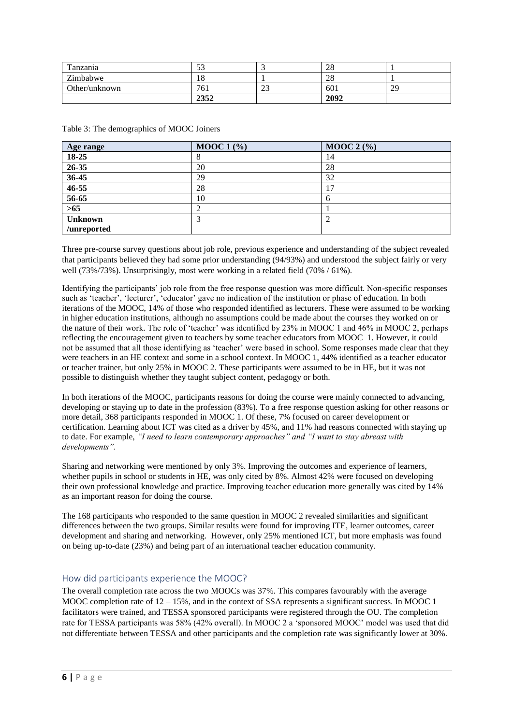| Tanzania      | ہ ہے<br>ر ر |               | ററ<br>40 |    |
|---------------|-------------|---------------|----------|----|
| Zimbabwe      | 10          |               | ററ<br>40 |    |
| Other/unknown | 761         | $\sim$<br>ل ک | 601      | 29 |
|               | 2352        |               | 2092     |    |

| Age range      | MOOC $1\left(\frac{9}{6}\right)$ | <b>MOOC 2</b> $(\% )$ |
|----------------|----------------------------------|-----------------------|
| 18-25          | О                                | 14                    |
| 26-35          | 20                               | 28                    |
| 36-45          | 29                               | 32                    |
| $46 - 55$      | 28                               |                       |
| $56 - 65$      | 10                               |                       |
| $>65$          |                                  |                       |
| <b>Unknown</b> | ◠                                |                       |
| /unreported    |                                  |                       |

Table 3: The demographics of MOOC Joiners

Three pre-course survey questions about job role, previous experience and understanding of the subject revealed that participants believed they had some prior understanding (94/93%) and understood the subject fairly or very well (73%/73%). Unsurprisingly, most were working in a related field (70% / 61%).

Identifying the participants' job role from the free response question was more difficult. Non-specific responses such as 'teacher', 'lecturer', 'educator' gave no indication of the institution or phase of education. In both iterations of the MOOC, 14% of those who responded identified as lecturers. These were assumed to be working in higher education institutions, although no assumptions could be made about the courses they worked on or the nature of their work. The role of 'teacher' was identified by 23% in MOOC 1 and 46% in MOOC 2, perhaps reflecting the encouragement given to teachers by some teacher educators from MOOC 1. However, it could not be assumed that all those identifying as 'teacher' were based in school. Some responses made clear that they were teachers in an HE context and some in a school context. In MOOC 1, 44% identified as a teacher educator or teacher trainer, but only 25% in MOOC 2. These participants were assumed to be in HE, but it was not possible to distinguish whether they taught subject content, pedagogy or both.

In both iterations of the MOOC, participants reasons for doing the course were mainly connected to advancing, developing or staying up to date in the profession (83%). To a free response question asking for other reasons or more detail, 368 participants responded in MOOC 1. Of these, 7% focused on career development or certification. Learning about ICT was cited as a driver by 45%, and 11% had reasons connected with staying up to date. For example, *"I need to learn contemporary approaches" and "I want to stay abreast with developments".*

Sharing and networking were mentioned by only 3%. Improving the outcomes and experience of learners, whether pupils in school or students in HE, was only cited by 8%. Almost 42% were focused on developing their own professional knowledge and practice. Improving teacher education more generally was cited by 14% as an important reason for doing the course.

The 168 participants who responded to the same question in MOOC 2 revealed similarities and significant differences between the two groups. Similar results were found for improving ITE, learner outcomes, career development and sharing and networking. However, only 25% mentioned ICT, but more emphasis was found on being up-to-date (23%) and being part of an international teacher education community.

#### How did participants experience the MOOC?

The overall completion rate across the two MOOCs was 37%. This compares favourably with the average MOOC completion rate of  $12 - 15\%$ , and in the context of SSA represents a significant success. In MOOC 1 facilitators were trained, and TESSA sponsored participants were registered through the OU. The completion rate for TESSA participants was 58% (42% overall). In MOOC 2 a 'sponsored MOOC' model was used that did not differentiate between TESSA and other participants and the completion rate was significantly lower at 30%.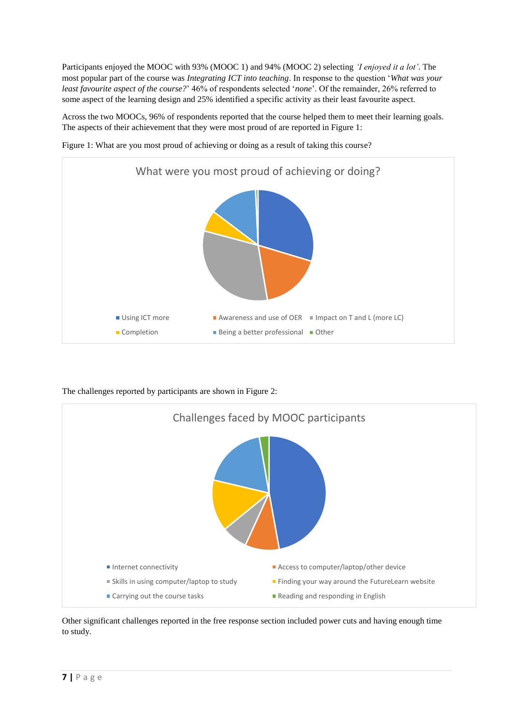Participants enjoyed the MOOC with 93% (MOOC 1) and 94% (MOOC 2) selecting *'I enjoyed it a lot'*. The most popular part of the course was *Integrating ICT into teaching*. In response to the question '*What was your least favourite aspect of the course?*' 46% of respondents selected '*none*'. Of the remainder, 26% referred to some aspect of the learning design and 25% identified a specific activity as their least favourite aspect.

Across the two MOOCs, 96% of respondents reported that the course helped them to meet their learning goals. The aspects of their achievement that they were most proud of are reported in Figure 1:



Figure 1: What are you most proud of achieving or doing as a result of taking this course?

The challenges reported by participants are shown in Figure 2:



Other significant challenges reported in the free response section included power cuts and having enough time to study.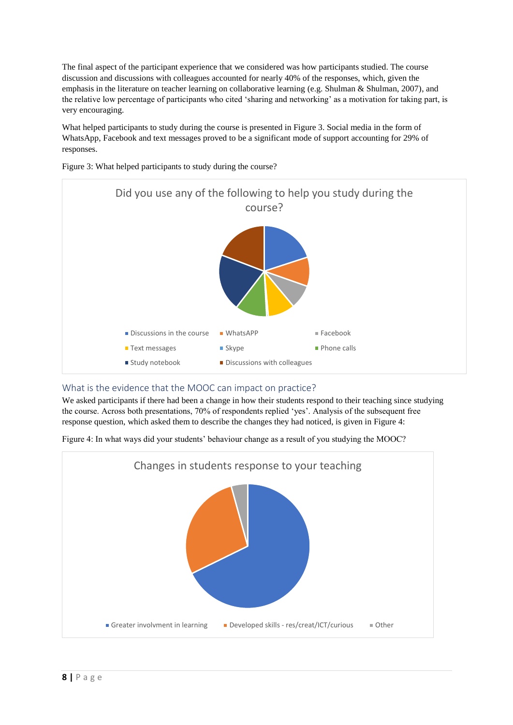The final aspect of the participant experience that we considered was how participants studied. The course discussion and discussions with colleagues accounted for nearly 40% of the responses, which, given the emphasis in the literature on teacher learning on collaborative learning (e.g. Shulman & Shulman, 2007), and the relative low percentage of participants who cited 'sharing and networking' as a motivation for taking part, is very encouraging.

What helped participants to study during the course is presented in Figure 3. Social media in the form of WhatsApp, Facebook and text messages proved to be a significant mode of support accounting for 29% of responses.



Figure 3: What helped participants to study during the course?

#### What is the evidence that the MOOC can impact on practice?

We asked participants if there had been a change in how their students respond to their teaching since studying the course. Across both presentations, 70% of respondents replied 'yes'. Analysis of the subsequent free response question, which asked them to describe the changes they had noticed, is given in Figure 4:

Figure 4: In what ways did your students' behaviour change as a result of you studying the MOOC?

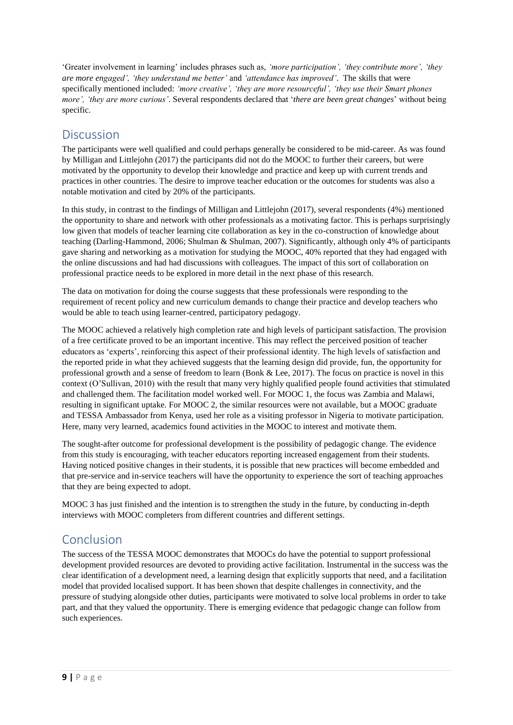'Greater involvement in learning' includes phrases such as, *'more participation', 'they contribute more', 'they are more engaged', 'they understand me better'* and *'attendance has improved'*. The skills that were specifically mentioned included: *'more creative', 'they are more resourceful', 'they use their Smart phones more', 'they are more curious'*. Several respondents declared that '*there are been great changes*' without being specific.

## **Discussion**

The participants were well qualified and could perhaps generally be considered to be mid-career. As was found by Milligan and Littlejohn (2017) the participants did not do the MOOC to further their careers, but were motivated by the opportunity to develop their knowledge and practice and keep up with current trends and practices in other countries. The desire to improve teacher education or the outcomes for students was also a notable motivation and cited by 20% of the participants.

In this study, in contrast to the findings of Milligan and Littlejohn (2017), several respondents (4%) mentioned the opportunity to share and network with other professionals as a motivating factor. This is perhaps surprisingly low given that models of teacher learning cite collaboration as key in the co-construction of knowledge about teaching (Darling-Hammond, 2006; Shulman & Shulman, 2007). Significantly, although only 4% of participants gave sharing and networking as a motivation for studying the MOOC, 40% reported that they had engaged with the online discussions and had had discussions with colleagues. The impact of this sort of collaboration on professional practice needs to be explored in more detail in the next phase of this research.

The data on motivation for doing the course suggests that these professionals were responding to the requirement of recent policy and new curriculum demands to change their practice and develop teachers who would be able to teach using learner-centred, participatory pedagogy.

The MOOC achieved a relatively high completion rate and high levels of participant satisfaction. The provision of a free certificate proved to be an important incentive. This may reflect the perceived position of teacher educators as 'experts', reinforcing this aspect of their professional identity. The high levels of satisfaction and the reported pride in what they achieved suggests that the learning design did provide, fun, the opportunity for professional growth and a sense of freedom to learn (Bonk & Lee, 2017). The focus on practice is novel in this context (O'Sullivan, 2010) with the result that many very highly qualified people found activities that stimulated and challenged them. The facilitation model worked well. For MOOC 1, the focus was Zambia and Malawi, resulting in significant uptake. For MOOC 2, the similar resources were not available, but a MOOC graduate and TESSA Ambassador from Kenya, used her role as a visiting professor in Nigeria to motivate participation. Here, many very learned, academics found activities in the MOOC to interest and motivate them.

The sought-after outcome for professional development is the possibility of pedagogic change. The evidence from this study is encouraging, with teacher educators reporting increased engagement from their students. Having noticed positive changes in their students, it is possible that new practices will become embedded and that pre-service and in-service teachers will have the opportunity to experience the sort of teaching approaches that they are being expected to adopt.

MOOC 3 has just finished and the intention is to strengthen the study in the future, by conducting in-depth interviews with MOOC completers from different countries and different settings.

## Conclusion

The success of the TESSA MOOC demonstrates that MOOCs do have the potential to support professional development provided resources are devoted to providing active facilitation. Instrumental in the success was the clear identification of a development need, a learning design that explicitly supports that need, and a facilitation model that provided localised support. It has been shown that despite challenges in connectivity, and the pressure of studying alongside other duties, participants were motivated to solve local problems in order to take part, and that they valued the opportunity. There is emerging evidence that pedagogic change can follow from such experiences.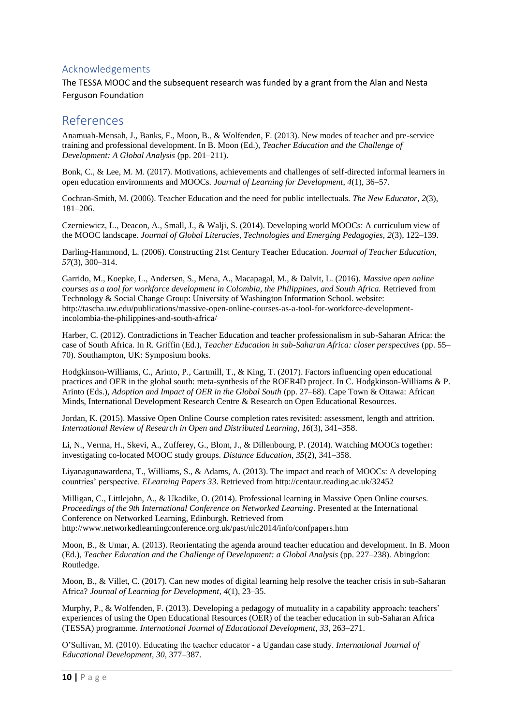## Acknowledgements

The TESSA MOOC and the subsequent research was funded by a grant from the Alan and Nesta Ferguson Foundation

## References

Anamuah-Mensah, J., Banks, F., Moon, B., & Wolfenden, F. (2013). New modes of teacher and pre-service training and professional development. In B. Moon (Ed.), *Teacher Education and the Challenge of Development: A Global Analysis* (pp. 201–211).

Bonk, C., & Lee, M. M. (2017). Motivations, achievements and challenges of self-directed informal learners in open education environments and MOOCs. *Journal of Learning for Development*, *4*(1), 36–57.

Cochran-Smith, M. (2006). Teacher Education and the need for public intellectuals. *The New Educator*, *2*(3), 181–206.

Czerniewicz, L., Deacon, A., Small, J., & Walji, S. (2014). Developing world MOOCs: A curriculum view of the MOOC landscape. *Journal of Global Literacies, Technologies and Emerging Pedagogies, 2*(3), 122–139.

Darling-Hammond, L. (2006). Constructing 21st Century Teacher Education. *Journal of Teacher Education*, *57*(3), 300–314.

Garrido, M., Koepke, L., Andersen, S., Mena, A., Macapagal, M., & Dalvit, L. (2016). *Massive open online courses as a tool for workforce development in Colombia, the Philippines, and South Africa.* Retrieved from Technology & Social Change Group: University of Washington Information School. website: http://tascha.uw.edu/publications/massive-open-online-courses-as-a-tool-for-workforce-developmentincolombia-the-philippines-and-south-africa/

Harber, C. (2012). Contradictions in Teacher Education and teacher professionalism in sub-Saharan Africa: the case of South Africa. In R. Griffin (Ed.), *Teacher Education in sub-Saharan Africa: closer perspectives* (pp. 55– 70). Southampton, UK: Symposium books.

Hodgkinson-Williams, C., Arinto, P., Cartmill, T., & King, T. (2017). Factors influencing open educational practices and OER in the global south: meta-synthesis of the ROER4D project. In C. Hodgkinson-Williams & P. Arinto (Eds.), *Adoption and Impact of OER in the Global South* (pp. 27–68). Cape Town & Ottawa: African Minds, International Development Research Centre & Research on Open Educational Resources.

Jordan, K. (2015). Massive Open Online Course completion rates revisited: assessment, length and attrition. *International Review of Research in Open and Distributed Learning*, *16*(3), 341–358.

Li, N., Verma, H., Skevi, A., Zufferey, G., Blom, J., & Dillenbourg, P. (2014). Watching MOOCs together: investigating co-located MOOC study groups. *Distance Education*, *35*(2), 341–358.

Liyanagunawardena, T., Williams, S., & Adams, A. (2013). The impact and reach of MOOCs: A developing countries' perspective. *ELearning Papers 33*. Retrieved from http://centaur.reading.ac.uk/32452

Milligan, C., Littlejohn, A., & Ukadike, O. (2014). Professional learning in Massive Open Online courses. *Proceedings of the 9th International Conference on Networked Learning*. Presented at the International Conference on Networked Learning, Edinburgh. Retrieved from http://www.networkedlearningconference.org.uk/past/nlc2014/info/confpapers.htm

Moon, B., & Umar, A. (2013). Reorientating the agenda around teacher education and development. In B. Moon (Ed.), *Teacher Education and the Challenge of Development: a Global Analysis* (pp. 227–238). Abingdon: Routledge.

Moon, B., & Villet, C. (2017). Can new modes of digital learning help resolve the teacher crisis in sub-Saharan Africa? *Journal of Learning for Development*, *4*(1), 23–35.

Murphy, P., & Wolfenden, F. (2013). Developing a pedagogy of mutuality in a capability approach: teachers' experiences of using the Open Educational Resources (OER) of the teacher education in sub-Saharan Africa (TESSA) programme. *International Journal of Educational Development*, *33*, 263–271.

O'Sullivan, M. (2010). Educating the teacher educator - a Ugandan case study. *International Journal of Educational Development*, *30*, 377–387.